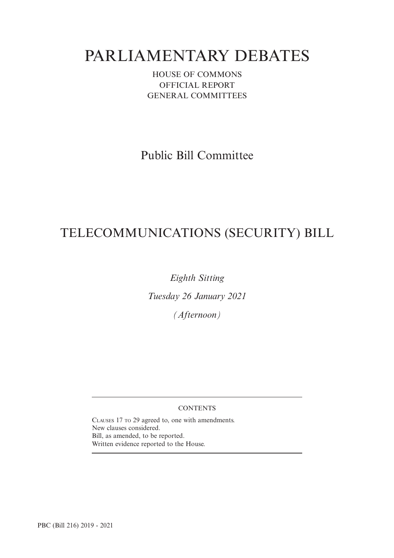# PARLIAMENTARY DEBATES

HOUSE OF COMMONS OFFICIAL REPORT GENERAL COMMITTEES

Public Bill Committee

## TELECOMMUNICATIONS (SECURITY) BILL

*Eighth Sitting*

*Tuesday 26 January 2021*

*(Afternoon)*

#### **CONTENTS**

CLAUSES 17 TO 29 agreed to, one with amendments. New clauses considered. Bill, as amended, to be reported. Written evidence reported to the House.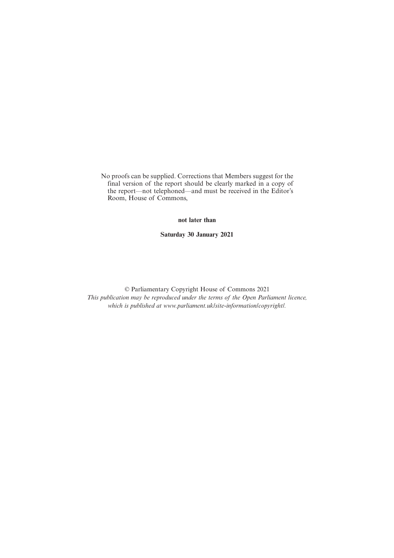No proofs can be supplied. Corrections that Members suggest for the final version of the report should be clearly marked in a copy of the report—not telephoned—and must be received in the Editor's Room, House of Commons,

**not later than**

**Saturday 30 January 2021**

© Parliamentary Copyright House of Commons 2021 *This publication may be reproduced under the terms of the Open Parliament licence, which is published at www.parliament.uk/site-information/copyright/.*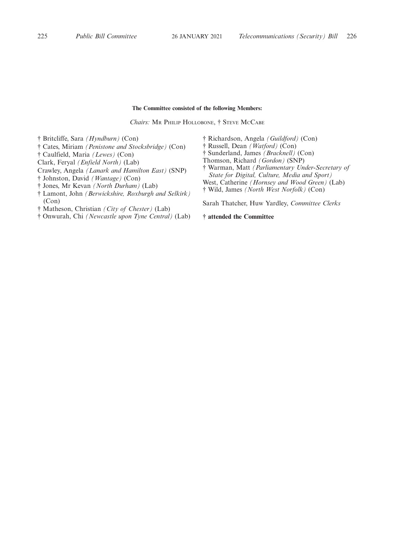#### **The Committee consisted of the following Members:**

*Chairs:* M<sup>R</sup> PHILIP HOLLOBONE, † STEVE MCCABE

- † Britcliffe, Sara *(Hyndburn)* (Con)
- † Cates, Miriam *(Penistone and Stocksbridge)* (Con)
- † Caulfield, Maria *(Lewes)* (Con)
- Clark, Feryal *(Enfield North)* (Lab)
- Crawley, Angela *(Lanark and Hamilton East)* (SNP)
- † Johnston, David *(Wantage)* (Con)
- † Jones, Mr Kevan *(North Durham)* (Lab)
- † Lamont, John *(Berwickshire, Roxburgh and Selkirk)* (Con)
- † Matheson, Christian *(City of Chester)* (Lab)
- † Onwurah, Chi *(Newcastle upon Tyne Central)* (Lab)
- † Richardson, Angela *(Guildford)* (Con)
- † Russell, Dean *(Watford)* (Con)
- † Sunderland, James *(Bracknell)* (Con)
- Thomson, Richard *(Gordon)* (SNP)
- † Warman, Matt *(Parliamentary Under-Secretary of State for Digital, Culture, Media and Sport)* West, Catherine *(Hornsey and Wood Green)* (Lab)
- † Wild, James *(North West Norfolk)* (Con)

Sarah Thatcher, Huw Yardley, *Committee Clerks*

**† attended the Committee**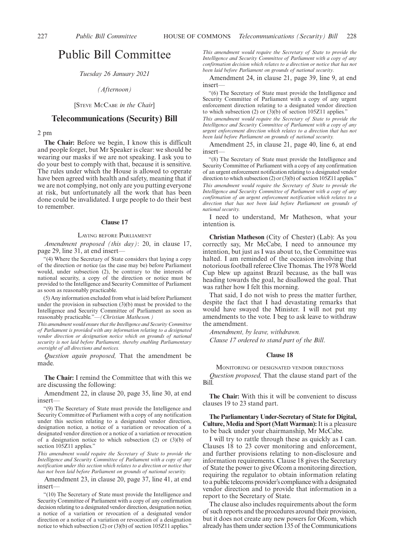## Public Bill Committee

*Tuesday 26 January 2021*

*(Afternoon)*

[STEVE MCCABE *in the Chair*]

#### **Telecommunications (Security) Bill**

2 pm

**The Chair:** Before we begin, I know this is difficult and people forget, but Mr Speaker is clear: we should be wearing our masks if we are not speaking. I ask you to do your best to comply with that, because it is sensitive. The rules under which the House is allowed to operate have been agreed with health and safety, meaning that if we are not complying, not only are you putting everyone at risk, but unfortunately all the work that has been done could be invalidated. I urge people to do their best to remember.

#### **Clause 17**

#### LAYING BEFORE PARLIAMENT

*Amendment proposed (this day)*: 20, in clause 17, page 29, line 31, at end insert—

"(4) Where the Secretary of State considers that laying a copy of the direction or notice (as the case may be) before Parliament would, under subsection (2), be contrary to the interests of national security, a copy of the direction or notice must be provided to the Intelligence and Security Committee of Parliament as soon as reasonably practicable.

(5) Any information excluded from what is laid before Parliament under the provision in subsection (3)(b) must be provided to the Intelligence and Security Committee of Parliament as soon as reasonably practicable."—*(Christian Matheson.)*

*This amendment would ensure that the Intelligence and Security Committee of Parliament is provided with any information relating to a designated vendor direction or designation notice which on grounds of national security is not laid before Parliament, thereby enabling Parliamentary oversight of all directions and notices.*

*Question again proposed,* That the amendment be made.

**The Chair:** I remind the Committee that with this we are discussing the following:

Amendment 22, in clause 20, page 35, line 30, at end insert—

"(9) The Secretary of State must provide the Intelligence and Security Committee of Parliament with a copy of any notification under this section relating to a designated vendor direction, designation notice, a notice of a variation or revocation of a designated vendor direction or a notice of a variation or revocation of a designation notice to which subsection (2) or (3)(b) of section 105Z11 applies."

*This amendment would require the Secretary of State to provide the Intelligence and Security Committee of Parliament with a copy of any notification under this section which relates to a direction or notice that has not been laid before Parliament on grounds of national security.*

Amendment 23, in clause 20, page 37, line 41, at end insert—

"(10) The Secretary of State must provide the Intelligence and Security Committee of Parliament with a copy of any confirmation decision relating to a designated vendor direction, designation notice, a notice of a variation or revocation of a designated vendor direction or a notice of a variation or revocation of a designation notice to which subsection (2) or (3)(b) of section 105Z11 applies."

*This amendment would require the Secretary of State to provide the Intelligence and Security Committee of Parliament with a copy of any confirmation decision which relates to a direction or notice that has not been laid before Parliament on grounds of national security.*

Amendment 24, in clause 21, page 39, line 9, at end insert—

"(6) The Secretary of State must provide the Intelligence and Security Committee of Parliament with a copy of any urgent enforcement direction relating to a designated vendor direction to which subsection (2) or (3)(b) of section 105Z11 applies."

*This amendment would require the Secretary of State to provide the Intelligence and Security Committee of Parliament with a copy of any urgent enforcement direction which relates to a direction that has not been laid before Parliament on grounds of national security.*

Amendment 25, in clause 21, page 40, line 6, at end insert—

"(8) The Secretary of State must provide the Intelligence and Security Committee of Parliament with a copy of any confirmation of an urgent enforcement notification relating to a designated vendor direction to which subsection (2) or (3)(b) of section  $105Z11$  applies." *This amendment would require the Secretary of State to provide the Intelligence and Security Committee of Parliament with a copy of any confirmation of an urgent enforcement notification which relates to a direction that has not been laid before Parliament on grounds of national security.*

I need to understand, Mr Matheson, what your intention is.

**Christian Matheson** (City of Chester) (Lab): As you correctly say, Mr McCabe, I need to announce my intention, but just as I was about to, the Committee was halted. I am reminded of the occasion involving that notorious football referee Clive Thomas. The 1978 World Cup blew up against Brazil because, as the ball was heading towards the goal, he disallowed the goal. That was rather how I felt this morning.

That said, I do not wish to press the matter further, despite the fact that I had devastating remarks that would have swayed the Minister. I will not put my amendments to the vote. I beg to ask leave to withdraw the amendment.

*Amendment, by leave, withdrawn. Clause 17 ordered to stand part of the Bill*.

#### **Clause 18**

MONITORING OF DESIGNATED VENDOR DIRECTIONS

*Question proposed,* That the clause stand part of the Bill*.*

**The Chair:** With this it will be convenient to discuss clauses 19 to 23 stand part.

**The Parliamentary Under-Secretary of State for Digital, Culture, Media and Sport (Matt Warman):**It is a pleasure to be back under your chairmanship, Mr McCabe.

I will try to rattle through these as quickly as I can. Clauses 18 to 23 cover monitoring and enforcement, and further provisions relating to non-disclosure and information requirements. Clause 18 gives the Secretary of State the power to give Ofcom a monitoring direction, requiring the regulator to obtain information relating to a public telecoms provider's compliance with a designated vendor direction and to provide that information in a report to the Secretary of State.

The clause also includes requirements about the form of such reports and the procedures around their provision, but it does not create any new powers for Ofcom, which already has them under section 135 of the Communications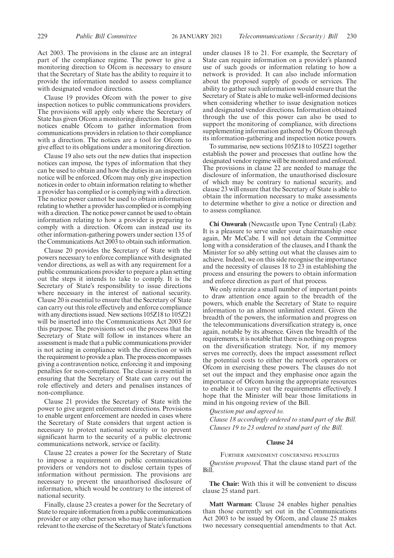Act 2003. The provisions in the clause are an integral part of the compliance regime. The power to give a monitoring direction to Ofcom is necessary to ensure that the Secretary of State has the ability to require it to provide the information needed to assess compliance with designated vendor directions.

Clause 19 provides Ofcom with the power to give inspection notices to public communications providers. The provisions will apply only where the Secretary of State has given Ofcom a monitoring direction. Inspection notices enable Ofcom to gather information from communications providers in relation to their compliance with a direction. The notices are a tool for Ofcom to give effect to its obligations under a monitoring direction.

Clause 19 also sets out the new duties that inspection notices can impose, the types of information that they can be used to obtain and how the duties in an inspection notice will be enforced. Ofcom may only give inspection notices in order to obtain information relating to whether a provider has complied or is complying with a direction. The notice power cannot be used to obtain information relating to whether a provider has complied or is complying with a direction. The notice power cannot be used to obtain information relating to how a provider is preparing to comply with a direction. Of com can instead use its other information-gathering powers under section 135 of the Communications Act 2003 to obtain such information.

Clause 20 provides the Secretary of State with the powers necessary to enforce compliance with designated vendor directions, as well as with any requirement for a public communications provider to prepare a plan setting out the steps it intends to take to comply. It is the Secretary of State's responsibility to issue directions where necessary in the interest of national security. Clause 20 is essential to ensure that the Secretary of State can carry out this role effectively and enforce compliance with any directions issued. New sections 105Z18 to 105Z21 will be inserted into the Communications Act 2003 for this purpose. The provisions set out the process that the Secretary of State will follow in instances where an assessment is made that a public communications provider is not acting in compliance with the direction or with the requirement to provide a plan. The process encompasses giving a contravention notice, enforcing it and imposing penalties for non-compliance. The clause is essential in ensuring that the Secretary of State can carry out the role effectively and deters and penalises instances of non-compliance.

Clause 21 provides the Secretary of State with the power to give urgent enforcement directions. Provisions to enable urgent enforcement are needed in cases where the Secretary of State considers that urgent action is necessary to protect national security or to prevent significant harm to the security of a public electronic communications network, service or facility.

Clause 22 creates a power for the Secretary of State to impose a requirement on public communications providers or vendors not to disclose certain types of information without permission. The provisions are necessary to prevent the unauthorised disclosure of information, which would be contrary to the interest of national security.

Finally, clause 23 creates a power for the Secretary of State to require information from a public communications provider or any other person who may have information relevant to the exercise of the Secretary of State's functions

under clauses 18 to 21. For example, the Secretary of State can require information on a provider's planned use of such goods or information relating to how a network is provided. It can also include information about the proposed supply of goods or services. The ability to gather such information would ensure that the Secretary of State is able to make well-informed decisions when considering whether to issue designation notices and designated vendor directions. Information obtained through the use of this power can also be used to support the monitoring of compliance, with directions supplementing information gathered by Ofcom through its information-gathering and inspection notice powers.

To summarise, new sections 105Z18 to 105Z21 together establish the power and processes that outline how the designated vendor regime will be monitored and enforced. The provisions in clause 22 are needed to manage the disclosure of information, the unauthorised disclosure of which may be contrary to national security, and clause 23 will ensure that the Secretary of State is able to obtain the information necessary to make assessments to determine whether to give a notice or direction and to assess compliance.

**Chi Onwurah** (Newcastle upon Tyne Central) (Lab): It is a pleasure to serve under your chairmanship once again, Mr McCabe. I will not detain the Committee long with a consideration of the clauses, and I thank the Minister for so ably setting out what the clauses aim to achieve. Indeed, we on this side recognise the importance and the necessity of clauses 18 to 23 in establishing the process and ensuring the powers to obtain information and enforce direction as part of that process.

We only reiterate a small number of important points to draw attention once again to the breadth of the powers, which enable the Secretary of State to require information to an almost unlimited extent. Given the breadth of the powers, the information and progress on the telecommunications diversification strategy is, once again, notable by its absence. Given the breadth of the requirements, it is notable that there is nothing on progress on the diversification strategy. Nor, if my memory serves me correctly, does the impact assessment reflect the potential costs to either the network operators or Ofcom in exercising these powers. The clauses do not set out the impact and they emphasise once again the importance of Ofcom having the appropriate resources to enable it to carry out the requirements effectively. I hope that the Minister will bear those limitations in mind in his ongoing review of the Bill.

*Question put and agreed to.*

*Clause 18 accordingly ordered to stand part of the Bill. Clauses 19 to 23 ordered to stand part of the Bill.*

#### **Clause 24**

FURTHER AMENDMENT CONCERNING PENALTIES *Question proposed,* That the clause stand part of the Bill.

**The Chair:** With this it will be convenient to discuss clause 25 stand part.

**Matt Warman:** Clause 24 enables higher penalties than those currently set out in the Communications Act 2003 to be issued by Ofcom, and clause 25 makes two necessary consequential amendments to that Act.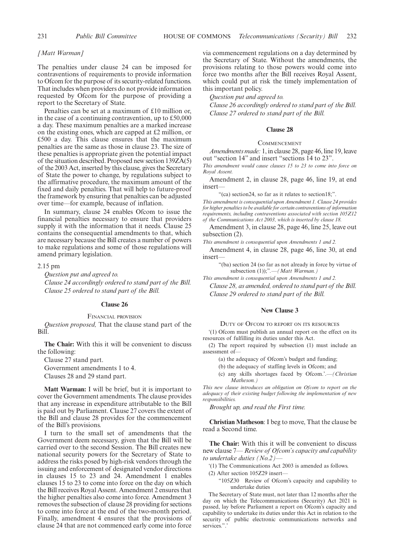#### *[Matt Warman]*

The penalties under clause 24 can be imposed for contraventions of requirements to provide information to Ofcom for the purpose of its security-related functions. That includes when providers do not provide information requested by Ofcom for the purpose of providing a report to the Secretary of State.

Penalties can be set at a maximum of £10 million or, in the case of a continuing contravention, up to £50,000 a day. These maximum penalties are a marked increase on the existing ones, which are capped at £2 million, or £500 a day. This clause ensures that the maximum penalties are the same as those in clause 23. The size of these penalties is appropriate given the potential impact of the situation described. Proposed new section 139ZA(5) of the 2003 Act, inserted by this clause, gives the Secretary of State the power to change, by regulations subject to the affirmative procedure, the maximum amount of the fixed and daily penalties. That will help to future-proof the framework by ensuring that penalties can be adjusted over time—for example, because of inflation.

In summary, clause 24 enables Ofcom to issue the financial penalties necessary to ensure that providers supply it with the information that it needs. Clause 25 contains the consequential amendments to that, which are necessary because the Bill creates a number of powers to make regulations and some of those regulations will amend primary legislation.

2.15 pm

*Question put and agreed to. Clause 24 accordingly ordered to stand part of the Bill. Clause 25 ordered to stand part of the Bill.*

#### **Clause 26**

FINANCIAL PROVISION

*Question proposed,* That the clause stand part of the Bill.

**The Chair:** With this it will be convenient to discuss the following:

Clause 27 stand part.

Government amendments 1 to 4.

Clauses 28 and 29 stand part.

**Matt Warman:** I will be brief, but it is important to cover the Government amendments. The clause provides that any increase in expenditure attributable to the Bill is paid out by Parliament. Clause 27 covers the extent of the Bill and clause 28 provides for the commencement of the Bill's provisions.

I turn to the small set of amendments that the Government deem necessary, given that the Bill will be carried over to the second Session. The Bill creates new national security powers for the Secretary of State to address the risks posed by high-risk vendors through the issuing and enforcement of designated vendor directions in clauses 15 to 23 and 24. Amendment 1 enables clauses 15 to 23 to come into force on the day on which the Bill receives Royal Assent. Amendment 2 ensures that the higher penalties also come into force. Amendment 3 removes the subsection of clause 28 providing for sections to come into force at the end of the two-month period. Finally, amendment 4 ensures that the provisions of clause 24 that are not commenced early come into force via commencement regulations on a day determined by the Secretary of State. Without the amendments, the provisions relating to those powers would come into force two months after the Bill receives Royal Assent, which could put at risk the timely implementation of this important policy.

*Question put and agreed to.*

*Clause 26 accordingly ordered to stand part of the Bill. Clause 27 ordered to stand part of the Bill.*

#### **Clause 28**

#### **COMMENCEMENT**

*Amendments made:* 1, in clause 28, page 46, line 19, leave out "section 14" and insert "sections 14 to 23".

*This amendment would cause clauses 15 to 23 to come into force on Royal Assent.*

Amendment 2, in clause 28, page 46, line 19, at end insert—

"(ca) section24, so far as it relates to section18;".

*This amendment is consequential upon Amendment 1. Clause 24 provides for higher penalties to be available for certain contraventions of information requirements, including contraventions associated with section 105Z12 of the Communications Act 2003, which is inserted by clause 18.*

Amendment 3, in clause 28, page 46, line 25, leave out subsection (2).

*This amendment is consequential upon Amendments 1 and 2.*

Amendment 4, in clause 28, page 46, line 30, at end insert—

"(ba) section 24 (so far as not already in force by virtue of subsection (1));"*.*—*(Matt Warman.)*

*This amendment is consequential upon Amendments 1 and 2.*

*Clause 28, as amended, ordered to stand part of the Bill. Clause 29 ordered to stand part of the Bill.*

#### **New Clause 3**

DUTY OF OFCOM TO REPORT ON ITS RESOURCES

'(1) Ofcom must publish an annual report on the effect on its resources of fulfilling its duties under this Act.

(2) The report required by subsection (1) must include an assessment of—

(a) the adequacy of Ofcom's budget and funding;

(b) the adequacy of staffing levels in Ofcom; and

(c) any skills shortages faced by Ofcom.'.—*(Christian Matheson.)*

*This new clause introduces an obligation on Ofcom to report on the adequacy of their existing budget following the implementation of new responsibilities.*

*Brought up, and read the First time.*

**Christian Matheson**: I beg to move, That the clause be read a Second time.

**The Chair:** With this it will be convenient to discuss new clause 7— *Review of Ofcom's capacity and capability to undertake duties (No.2)—*

'(1) The Communications Act 2003 is amended as follows.

(2) After section 105Z29 insert—

"105Z30 Review of Ofcom's capacity and capability to undertake duties

The Secretary of State must, not later than 12 months after the day on which the Telecommunications (Security) Act 2021 is passed, lay before Parliament a report on Ofcom's capacity and capability to undertake its duties under this Act in relation to the security of public electronic communications networks and services.".'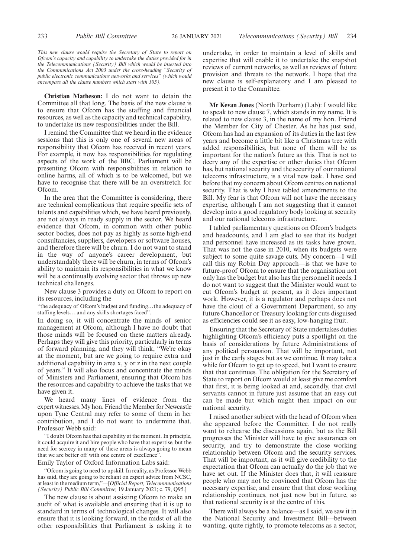*This new clause would require the Secretary of State to report on Ofcom's capacity and capability to undertake the duties provided for in the Telecommunications (Security) Bill which would be inserted into the Communications Act 2003 under the cross-heading "Security of public electronic communications networks and services" (which would encompass all the clause numbers which start with 105).*

**Christian Matheson:** I do not want to detain the Committee all that long. The basis of the new clause is to ensure that Ofcom has the staffing and financial resources, as well as the capacity and technical capability, to undertake its new responsibilities under the Bill.

I remind the Committee that we heard in the evidence sessions that this is only one of several new areas of responsibility that Ofcom has received in recent years. For example, it now has responsibilities for regulating aspects of the work of the BBC. Parliament will be presenting Ofcom with responsibilities in relation to online harms, all of which is to be welcomed, but we have to recognise that there will be an overstretch for Ofcom.

In the area that the Committee is considering, there are technical complications that require specific sets of talents and capabilities which, we have heard previously, are not always in ready supply in the sector. We heard evidence that Ofcom, in common with other public sector bodies, does not pay as highly as some high-end consultancies, suppliers, developers or software houses, and therefore there will be churn. I do not want to stand in the way of anyone's career development, but understandably there will be churn, in terms of Ofcom's ability to maintain its responsibilities in what we know will be a continually evolving sector that throws up new technical challenges.

New clause 3 provides a duty on Ofcom to report on its resources, including the

"the adequacy of Ofcom's budget and funding…the adequacy of staffing levels….and any skills shortages faced".

In doing so, it will concentrate the minds of senior management at Ofcom, although I have no doubt that those minds will be focused on these matters already. Perhaps they will give this priority, particularly in terms of forward planning, and they will think, "We're okay at the moment, but are we going to require extra and additional capability in area x, y or z in the next couple of years." It will also focus and concentrate the minds of Ministers and Parliament, ensuring that Ofcom has the resources and capability to achieve the tasks that we have given it.

We heard many lines of evidence from the expert witnesses. My hon. Friend the Member for Newcastle upon Tyne Central may refer to some of them in her contribution, and I do not want to undermine that. Professor Webb said:

"I doubt Ofcom has that capability at the moment. In principle, it could acquire it and hire people who have that expertise, but the need for secrecy in many of these areas is always going to mean that we are better off with one centre of excellence".

#### Emily Taylor of Oxford Information Labs said:

"Ofcom is going to need to upskill. In reality, as Professor Webb has said, they are going to be reliant on expert advice from NCSC, at least in the medium term,"*––*[*Official Report, Telecommunications (Security) Public Bill Committee,* 19 January 2021; c. 79, Q95.]

The new clause is about assisting Ofcom to make an audit of what is available and ensuring that it is up to standard in terms of technological changes. It will also ensure that it is looking forward, in the midst of all the other responsibilities that Parliament is asking it to undertake, in order to maintain a level of skills and expertise that will enable it to undertake the snapshot reviews of current networks, as well as reviews of future provision and threats to the network. I hope that the new clause is self-explanatory and I am pleased to present it to the Committee.

**Mr Kevan Jones** (North Durham) (Lab): I would like to speak to new clause 7, which stands in my name. It is related to new clause 3, in the name of my hon. Friend the Member for City of Chester. As he has just said, Ofcom has had an expansion of its duties in the last few years and become a little bit like a Christmas tree with added responsibilities, but none of them will be as important for the nation's future as this. That is not to decry any of the expertise or other duties that Ofcom has, but national security and the security of our national telecoms infrastructure, is a vital new task. I have said before that my concern about Ofcom centres on national security. That is why I have tabled amendments to the Bill. My fear is that Ofcom will not have the necessary expertise, although I am not suggesting that it cannot develop into a good regulatory body looking at security and our national telecoms infrastructure.

I tabled parliamentary questions on Ofcom's budgets and headcounts, and I am glad to see that its budget and personnel have increased as its tasks have grown. That was not the case in 2010, when its budgets were subject to some quite savage cuts. My concern—I will call this my Robin Day approach—is that we have to future-proof Ofcom to ensure that the organisation not only has the budget but also has the personnel it needs. I do not want to suggest that the Minister would want to cut Ofcom's budget at present, as it does important work. However, it is a regulator and perhaps does not have the clout of a Government Department, so any future Chancellor or Treasury looking for cuts disguised as efficiencies could see it as easy, low-hanging fruit.

Ensuring that the Secretary of State undertakes duties highlighting Ofcom's efficiency puts a spotlight on the basis of considerations by future Administrations of any political persuasion. That will be important, not just in the early stages but as we continue. It may take a while for Ofcom to get up to speed, but I want to ensure that that continues. The obligation for the Secretary of State to report on Ofcom would at least give me comfort that first, it is being looked at and, secondly, that civil servants cannot in future just assume that an easy cut can be made but which might then impact on our national security.

I raised another subject with the head of Ofcom when she appeared before the Committee. I do not really want to rehearse the discussions again, but as the Bill progresses the Minister will have to give assurances on security, and try to demonstrate the close working relationship between Ofcom and the security services. That will be important, as it will give credibility to the expectation that Ofcom can actually do the job that we have set out. If the Minister does that, it will reassure people who may not be convinced that Ofcom has the necessary expertise, and ensure that that close working relationship continues, not just now but in future, so that national security is at the centre of this.

There will always be a balance—as I said, we saw it in the National Security and Investment Bill—between wanting, quite rightly, to promote telecoms as a sector,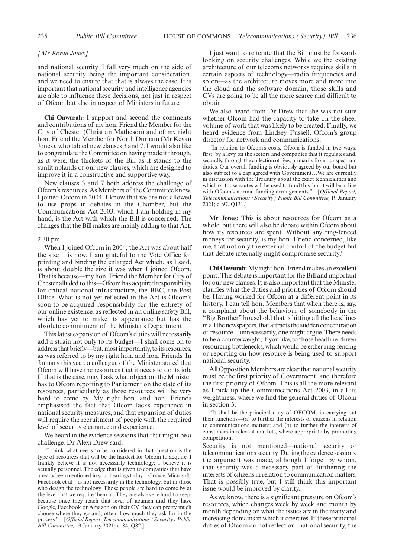#### *[Mr Kevan Jones]*

and national security. I fall very much on the side of national security being the important consideration, and we need to ensure that that is always the case. It is important that national security and intelligence agencies are able to influence these decisions, not just in respect of Ofcom but also in respect of Ministers in future.

**Chi Onwurah:** I support and second the comments and contributions of my hon. Friend the Member for the City of Chester (Christian Matheson) and of my right hon. Friend the Member for North Durham (Mr Kevan Jones), who tabled new clauses 3 and 7. I would also like to congratulate the Committee on having made it through, as it were, the thickets of the Bill as it stands to the sunlit uplands of our new clauses, which are designed to improve it in a constructive and supportive way.

New clauses 3 and 7 both address the challenge of Ofcom's resources. As Members of the Committee know, I joined Ofcom in 2004. I know that we are not allowed to use props in debates in the Chamber, but the Communications Act 2003, which I am holding in my hand, is the Act with which the Bill is concerned. The changes that the Bill makes are mainly adding to that Act.

#### 2.30 pm

When I joined Ofcom in 2004, the Act was about half the size it is now. I am grateful to the Vote Office for printing and binding the enlarged Act which, as I said, is about double the size it was when I joined Ofcom. That is because—my hon. Friend the Member for City of Chester alluded to this—Ofcom has acquired responsibility for critical national infrastructure, the BBC, the Post Office. What is not yet reflected in the Act is Ofcom's soon-to-be-acquired responsibility for the entirety of our online existence, as reflected in an online safety Bill, which has yet to make its appearance but has the absolute commitment of the Minister's Department.

This latest expansion of Ofcom's duties will necessarily add a strain not only to its budget—I shall come on to address that briefly—but, most importantly, to its resources, as was referred to by my right hon. and hon. Friends. In January this year, a colleague of the Minister stated that Ofcom will have the resources that it needs to do its job. If that is the case, may I ask what objection the Minister has to Ofcom reporting to Parliament on the state of its resources, particularly as those resources will be very hard to come by. My right hon. and hon. Friends emphasised the fact that Ofcom lacks experience in national security measures, and that expansion of duties will require the recruitment of people with the required level of security clearance and experience.

We heard in the evidence sessions that that might be a challenge. Dr Alexi Drew said:

"I think what needs to be considered in that question is the type of resources that will be the hardest for Ofcom to acquire. I frankly believe it is not necessarily technology; I believe it is actually personnel. The edge that is given to companies that have already been mentioned in your hearings today—Google, Microsoft, Facebook et al—is not necessarily in the technology, but in those who design the technology. Those people are hard to come by at the level that we require them at. They are also very hard to keep, because once they reach that level of acumen and they have Google, Facebook or Amazon on their CV, they can pretty much choose where they go and, often, how much they ask for in the process."*––*[*Official Report, Telecommunications (Security) Public Bill Committee,* 19 January 2021; c. 84, Q82.]

I just want to reiterate that the Bill must be forwardlooking on security challenges. While we the existing architecture of our telecoms networks requires skills in certain aspects of technology—radio frequencies and so on—as the architecture moves more and more into the cloud and the software domain, those skills and CVs are going to be all the more scarce and difficult to obtain.

We also heard from Dr Drew that she was not sure whether Ofcom had the capacity to take on the sheer volume of work that was likely to be created. Finally, we heard evidence from Lindsey Fussell, Ofcom's group director for network and communications:

"In relation to Ofcom's costs, Ofcom is funded in two ways: first, by a levy on the sectors and companies that it regulates and, secondly, through the collection of fees, primarily from our spectrum duties. Our overall funding is obviously agreed by our board but also subject to a cap agreed with Government…We are currently in discussion with the Treasury about the exact technicalities and which of those routes will be used to fund this, but it will be in line with Ofcom's normal funding arrangements."*––*[*Official Report, Telecommunications (Security) Public Bill Committee,* 19 January 2021; c. 97, Q131.]

Mr Jones: This is about resources for Ofcom as a whole, but there will also be debate within Ofcom about how its resources are spent. Without any ring-fenced moneys for security, is my hon. Friend concerned, like me, that not only the external control of the budget but that debate internally might compromise security?

**Chi Onwurah:** My right hon. Friend makes an excellent point. This debate is important for the Bill and important for our new clauses. It is also important that the Minister clarifies what the duties and priorities of Ofcom should be. Having worked for Ofcom at a different point in its history, I can tell hon. Members that when there is, say, a complaint about the behaviour of somebody in the "Big Brother" household that is hitting all the headlines in all the newspapers, that attracts the sudden concentration of resource—unnecessarily, one might argue. There needs to be a counterweight, if you like, to those headline-driven resourcing bottlenecks, which would be either ring-fencing or reporting on how resource is being used to support national security.

All Opposition Members are clear that national security must be the first priority of Government, and therefore the first priority of Ofcom. This is all the more relevant as I pick up the Communications Act 2003, in all its weightiness, where we find the general duties of Ofcom in section 3:

"It shall be the principal duty of OFCOM, in carrying out their functions—(a) to further the interests of citizens in relation to communications matters; and (b) to further the interests of consumers in relevant markets, where appropriate by promoting competition."

Security is not mentioned—national security or telecommunications security. During the evidence sessions, the argument was made, although I forget by whom, that security was a necessary part of furthering the interests of citizens in relation to communication matters. That is possibly true, but I still think this important issue would be improved by clarity.

As we know, there is a significant pressure on Ofcom's resources, which changes week by week and month by month depending on what the issues are in the many and increasing domains in which it operates. If these principal duties of Ofcom do not reflect our national security, the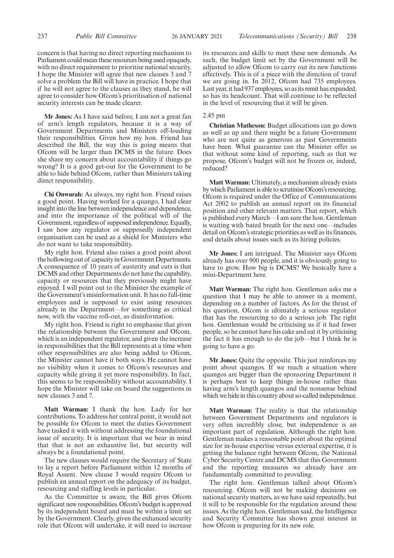concern is that having no direct reporting mechanism to Parliament could mean these resources being used opaquely, with no direct requirement to prioritise national security. I hope the Minister will agree that new clauses 3 and 7 solve a problem the Bill will have in practice. I hope that if he will not agree to the clauses as they stand, he will agree to consider how Ofcom's prioritisation of national security interests can be made clearer.

**Mr Jones:** As I have said before, I am not a great fan of arm's length regulators, because it is a way of Government Departments and Ministers off-loading their responsibilities. Given how my hon. Friend has described the Bill, the way this is going means that Ofcom will be larger than DCMS in the future. Does she share my concern about accountability if things go wrong? It is a good get-out for the Government to be able to hide behind Ofcom, rather than Ministers taking direct responsibility.

**Chi Onwurah:** As always, my right hon. Friend raises a good point. Having worked for a quango, I had clear insight into the line between independence and dependence, and into the importance of the political will of the Government, regardless of supposed independence. Equally, I saw how any regulator or supposedly independent organisation can be used as a shield for Ministers who do not want to take responsibility.

My right hon. Friend also raises a good point about the hollowing out of capacity in Government Departments. A consequence of 10 years of austerity and cuts is that DCMS and other Departments do not have the capability, capacity or resources that they previously might have enjoyed. I will point out to the Minister the example of the Government's misinformation unit. It has no full-time employees and is supposed to exist using resources already in the Department—for something as critical now, with the vaccine roll-out, as disinformation.

My right hon. Friend is right to emphasise that given the relationship between the Government and Ofcom, which is an independent regulator, and given the increase in responsibilities that the Bill represents at a time when other responsibilities are also being added to Ofcom, the Minister cannot have it both ways. He cannot have no visibility when it comes to Ofcom's resources and capacity while giving it yet more responsibility. In fact, this seems to be responsibility without accountability. I hope the Minister will take on board the suggestions in new clauses 3 and 7.

**Matt Warman:** I thank the hon. Lady for her contributions. To address her central point, it would not be possible for Ofcom to meet the duties Government have tasked it with without addressing the foundational issue of security. It is important that we bear in mind that that is not an exhaustive list, but security will always be a foundational point.

The new clauses would require the Secretary of State to lay a report before Parliament within 12 months of Royal Assent. New clause 3 would require Ofcom to publish an annual report on the adequacy of its budget, resourcing and staffing levels in particular.

As the Committee is aware, the Bill gives Ofcom significant new responsibilities. Of com's budget is approved by its independent board and must be within a limit set by the Government. Clearly, given the enhanced security role that Ofcom will undertake, it will need to increase its resources and skills to meet these new demands. As such, the budget limit set by the Government will be adjusted to allow Ofcom to carry out its new functions effectively. This is of a piece with the direction of travel we are going in. In 2012, Ofcom had 735 employees. Last year, it had 937 employees, so as its remit has expanded, so has its headcount. That will continue to be reflected in the level of resourcing that it will be given.

#### 2.45 pm

**Christian Matheson:** Budget allocations can go down as well as up and there might be a future Government who are not quite as generous as past Governments have been. What guarantee can the Minister offer us that without some kind of reporting, such as that we propose, Ofcom's budget will not be frozen or, indeed, reduced?

**Matt Warman:** Ultimately, a mechanism already exists by which Parliament is able to scrutinise Ofcom's resourcing. Ofcom is required under the Office of Communications Act 2002 to publish an annual report on its financial position and other relevant matters. That report, which is published every March—I am sure the hon. Gentleman is waiting with bated breath for the next one—includes detail on Ofcom's strategic priorities as well as its finances, and details about issues such as its hiring policies.

**Mr Jones:** I am intrigued. The Minister says Ofcom already has over 900 people, and it is obviously going to have to grow. How big is DCMS? We basically have a mini-Department here.

**Matt Warman:** The right hon. Gentleman asks me a question that I may be able to answer in a moment, depending on a number of factors. As for the thrust of his question, Ofcom is ultimately a serious regulator that has the resourcing to do a serious job. The right hon. Gentleman would be criticising us if it had fewer people, so he cannot have his cake and eat it by criticising the fact it has enough to do the job—but I think he is going to have a go.

**Mr Jones:** Quite the opposite. This just reinforces my point about quangos. If we reach a situation where quangos are bigger than the sponsoring Department it is perhaps best to keep things in-house rather than having arm's length quangos and the nonsense behind which we hide in this country about so-called independence.

**Matt Warman:** The reality is that the relationship between Government Departments and regulators is very often incredibly close, but independence is an important part of regulation. Although the right hon. Gentleman makes a reasonable point about the optimal size for in-house expertise versus external expertise, it is getting the balance right between Ofcom, the National Cyber Security Centre and DCMS that this Government and the reporting measures we already have are fundamentally committed to providing.

The right hon. Gentleman talked about Ofcom's resourcing. Ofcom will not be making decisions on national security matters, as we have said repeatedly, but it will to be responsible for the regulation around these issues. As the right hon. Gentleman said, the Intelligence and Security Committee has shown great interest in how Ofcom is preparing for its new role.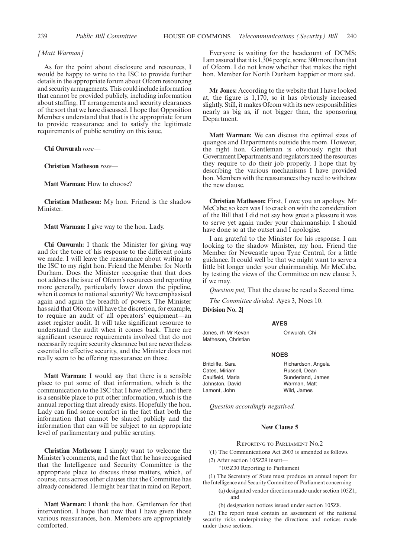#### *[Matt Warman]*

As for the point about disclosure and resources, I would be happy to write to the ISC to provide further details in the appropriate forum about Ofcom resourcing and security arrangements. This could include information that cannot be provided publicly, including information about staffing, IT arrangements and security clearances of the sort that we have discussed. I hope that Opposition Members understand that that is the appropriate forum to provide reassurance and to satisfy the legitimate requirements of public scrutiny on this issue.

**Chi Onwurah** *rose—*

**Christian Matheson** *rose—*

**Matt Warman:** How to choose?

**Christian Matheson:** My hon. Friend is the shadow **Minister**.

**Matt Warman:** I give way to the hon. Lady.

**Chi Onwurah:** I thank the Minister for giving way and for the tone of his response to the different points we made. I will leave the reassurance about writing to the ISC to my right hon. Friend the Member for North Durham. Does the Minister recognise that that does not address the issue of Ofcom's resources and reporting more generally, particularly lower down the pipeline, when it comes to national security? We have emphasised again and again the breadth of powers. The Minister has said that Ofcom will have the discretion, for example, to require an audit of all operators' equipment—an asset register audit. It will take significant resource to understand the audit when it comes back. There are significant resource requirements involved that do not necessarily require security clearance but are nevertheless essential to effective security, and the Minister does not really seem to be offering reassurance on those.

**Matt Warman:** I would say that there is a sensible place to put some of that information, which is the communication to the ISC that I have offered, and there is a sensible place to put other information, which is the annual reporting that already exists. Hopefully the hon. Lady can find some comfort in the fact that both the information that cannot be shared publicly and the information that can will be subject to an appropriate level of parliamentary and public scrutiny.

**Christian Matheson:** I simply want to welcome the Minister's comments, and the fact that he has recognised that the Intelligence and Security Committee is the appropriate place to discuss these matters, which, of course, cuts across other clauses that the Committee has already considered. He might bear that in mind on Report.

**Matt Warman:** I thank the hon. Gentleman for that intervention. I hope that now that I have given those various reassurances, hon. Members are appropriately comforted.

Everyone is waiting for the headcount of DCMS; I am assured that it is 1,304 people, some 300 more than that of Ofcom. I do not know whether that makes the right hon. Member for North Durham happier or more sad.

**Mr Jones:** According to the website that I have looked at, the figure is 1,170, so it has obviously increased slightly. Still, it makes Ofcom with its new responsibilities nearly as big as, if not bigger than, the sponsoring Department.

**Matt Warman:** We can discuss the optimal sizes of quangos and Departments outside this room. However, the right hon. Gentleman is obviously right that Government Departments and regulators need the resources they require to do their job properly. I hope that by describing the various mechanisms I have provided hon. Members with the reassurances they need to withdraw the new clause.

**Christian Matheson:** First, I owe you an apology, Mr McCabe; so keen was I to crack on with the consideration of the Bill that I did not say how great a pleasure it was to serve yet again under your chairmanship. I should have done so at the outset and I apologise.

I am grateful to the Minister for his response. I am looking to the shadow Minister, my hon. Friend the Member for Newcastle upon Tyne Central, for a little guidance. It could well be that we might want to serve a little bit longer under your chairmanship, Mr McCabe, by testing the views of the Committee on new clause 3, if we may.

*Question put,* That the clause be read a Second time.

*The Committee divided:* Ayes 3, Noes 10.

**Division No. 2]**

**AYES**

Jones, rh Mr Kevan Matheson, Christian

**NOES**

Britcliffe, Sara Cates, Miriam Caulfield, Maria Johnston, David Lamont, John

Richardson, Angela Russell, Dean Sunderland, James Warman, Matt Wild, James

Onwurah, Chi

*Question accordingly negatived.*

#### **New Clause 5**

REPORTING TO PARLIAMENT NO.2

- '(1) The Communications Act 2003 is amended as follows.
- (2) After section 105Z29 insert—
	- "105Z30 Reporting to Parliament

(1) The Secretary of State must produce an annual report for the Intelligence and Security Committee of Parliament concerning—

(a) designated vendor directions made under section 105Z1; and

(b) designation notices issued under section 105Z8.

(2) The report must contain an assessment of the national security risks underpinning the directions and notices made under those sections.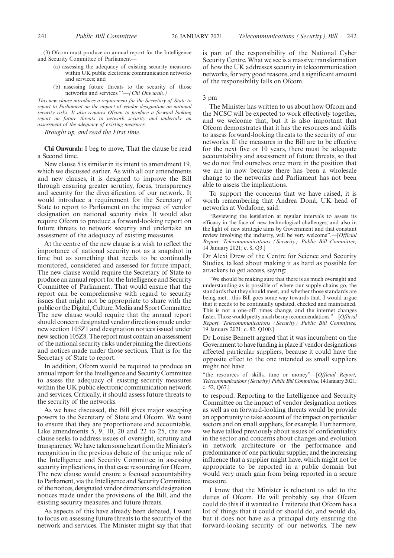(3) Ofcom must produce an annual report for the Intelligence and Security Committee of Parliament-

- (a) assessing the adequacy of existing security measures within UK public electronic communication networks and services; and
- (b) assessing future threats to the security of those networks and services."'*—(Chi Onwurah.)*

*This new clause introduces a requirement for the Secretary of State to report to Parliament on the impact of vendor designation on national security risks. It also requires Ofcom to produce a forward looking report on future threats to network security and undertake an assessment of the adequacy of existing measures*.

*Brought up, and read the First time.*

**Chi Onwurah:** I beg to move, That the clause be read a Second time.

New clause 5 is similar in its intent to amendment 19, which we discussed earlier. As with all our amendments and new clauses, it is designed to improve the Bill through ensuring greater scrutiny, focus, transparency and security for the diversification of our network. It would introduce a requirement for the Secretary of State to report to Parliament on the impact of vendor designation on national security risks. It would also require Ofcom to produce a forward-looking report on future threats to network security and undertake an assessment of the adequacy of existing measures.

At the centre of the new clause is a wish to reflect the importance of national security not as a snapshot in time but as something that needs to be continually monitored, considered and assessed for future impact. The new clause would require the Secretary of State to produce an annual report for the Intelligence and Security Committee of Parliament. That would ensure that the report can be comprehensive with regard to security issues that might not be appropriate to share with the public or the Digital, Culture, Media and Sport Committee. The new clause would require that the annual report should concern designated vendor directions made under new section 105Z1 and designation notices issued under new section 105Z8. The report must contain an assessment of the national security risks underpinning the directions and notices made under those sections. That is for the Secretary of State to report.

In addition, Ofcom would be required to produce an annual report for the Intelligence and Security Committee to assess the adequacy of existing security measures within the UK public electronic communication network and services. Critically, it should assess future threats to the security of the networks.

As we have discussed, the Bill gives major sweeping powers to the Secretary of State and Ofcom. We want to ensure that they are proportionate and accountable. Like amendments 5, 9, 10, 20 and 22 to 25, the new clause seeks to address issues of oversight, scrutiny and transparency. We have taken some heart from the Minister's recognition in the previous debate of the unique role of the Intelligence and Security Committee in assessing security implications, in that case resourcing for Ofcom. The new clause would ensure a focused accountability to Parliament, via the Intelligence and Security Committee, of the notices, designated vendor directions and designation notices made under the provisions of the Bill, and the existing security measures and future threats.

As aspects of this have already been debated, I want to focus on assessing future threats to the security of the network and services. The Minister might say that that is part of the responsibility of the National Cyber Security Centre. What we see is a massive transformation of how the UK addresses security in telecommunication networks, for very good reasons, and a significant amount of the responsibility falls on Ofcom.

#### 3 pm

The Minister has written to us about how Ofcom and the NCSC will be expected to work effectively together, and we welcome that, but it is also important that Ofcom demonstrates that it has the resources and skills to assess forward-looking threats to the security of our networks. If the measures in the Bill are to be effective for the next five or 10 years, there must be adequate accountability and assessment of future threats, so that we do not find ourselves once more in the position that we are in now because there has been a wholesale change to the networks and Parliament has not been able to assess the implications.

To support the concerns that we have raised, it is worth remembering that Andrea Donà, UK head of networks at Vodafone, said:

"Reviewing the legislation at regular intervals to assess its efficacy in the face of new technological challenges, and also in the light of new strategic aims by Government and that constant review involving the industry, will be very welcome".*––*[*Official Report, Telecommunications (Security) Public Bill Committee,* 14 January 2021; c. 8, Q3.]

Dr Alexi Drew of the Centre for Science and Security Studies, talked about making it as hard as possible for attackers to get access, saying:

"We should be making sure that there is as much oversight and understanding as is possible of where our supply chains go, the standards that they should meet, and whether those standards are being met…this Bill goes some way towards that. I would argue that it needs to be continually updated, checked and maintained. This is not a one-off: times change, and the internet changes faster. Those would pretty much be my recommendations."*––*[*Official Report, Telecommunications (Security) Public Bill Committee,* 19 January 2021; c. 82, Q100.]

Dr Louise Bennett argued that it was incumbent on the Government to have funding in place if vendor designations affected particular suppliers, because it could have the opposite effect to the one intended as small suppliers might not have

"the resources of skills, time or money"*––*[*Official Report, Telecommunications (Security) Public Bill Committee,* 14 January 2021; c. 52, Q67.]

to respond. Reporting to the Intelligence and Security Committee on the impact of vendor designation notices as well as on forward-looking threats would be provide an opportunity to take account of the impact on particular sectors and on small suppliers, for example. Furthermore, we have talked previously about issues of confidentiality in the sector and concerns about changes and evolution in network architecture or the performance and predominance of one particular supplier, and the increasing influence that a supplier might have, which might not be appropriate to be reported in a public domain but would very much gain from being reported in a secure measure.

I know that the Minister is reluctant to add to the duties of Ofcom. He will probably say that Ofcom could do this if it wanted to. I reiterate that Ofcom has a lot of things that it could or should do, and would do, but it does not have as a principal duty ensuring the forward-looking security of our networks. The new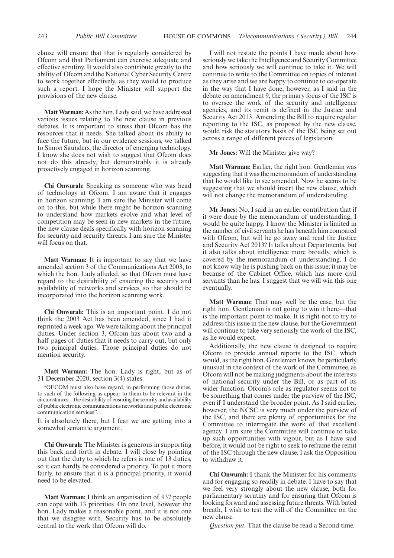clause will ensure that that is regularly considered by Ofcom and that Parliament can exercise adequate and effective scrutiny. It would also contribute greatly to the ability of Ofcom and the National Cyber Security Centre to work together effectively, as they would to produce such a report. I hope the Minister will support the provisions of the new clause.

**Matt Warman:**As the hon. Lady said, we have addressed various issues relating to the new clause in previous debates. It is important to stress that Ofcom has the resources that it needs. She talked about its ability to face the future, but in our evidence sessions, we talked to Simon Saunders, the director of emerging technology. I know she does not wish to suggest that Ofcom does not do this already, but demonstrably it is already proactively engaged in horizon scanning.

**Chi Onwurah:** Speaking as someone who was head of technology at Ofcom, I am aware that it engages in horizon scanning. I am sure the Minister will come on to this, but while there might be horizon scanning to understand how markets evolve and what level of competition may be seen in new markets in the future, the new clause deals specifically with horizon scanning for security and security threats. I am sure the Minister will focus on that.

**Matt Warman:** It is important to say that we have amended section 3 of the Communications Act 2003, to which the hon. Lady alluded, so that Ofcom must have regard to the desirability of ensuring the security and availability of networks and services, so that should be incorporated into the horizon scanning work.

**Chi Onwurah:** This is an important point. I do not think the 2003 Act has been amended, since I had it reprinted a week ago. We were talking about the principal duties. Under section 3, Ofcom has about two and a half pages of duties that it needs to carry out, but only two principal duties. Those principal duties do not mention security.

**Matt Warman:** The hon. Lady is right, but as of 31 December 2020, section 3(4) states:

"OFCOM must also have regard, in performing those duties, to such of the following as appear to them to be relevant in the circumstances…the desirability of ensuring the security and availability of public electronic communications networks and public electronic communication services".

It is absolutely there, but I fear we are getting into a somewhat semantic argument.

**Chi Onwurah:** The Minister is generous in supporting this back and forth in debate. I will close by pointing out that the duty to which he refers is one of 13 duties, so it can hardly be considered a priority. To put it more fairly, to ensure that it is a principal priority, it would need to be elevated.

**Matt Warman:** I think an organisation of 937 people can cope with 13 priorities. On one level, however the hon. Lady makes a reasonable point, and it is not one that we disagree with. Security has to be absolutely central to the work that Ofcom will do.

I will not restate the points I have made about how seriously we take the Intelligence and Security Committee and how seriously we will continue to take it. We will continue to write to the Committee on topics of interest as they arise and we are happy to continue to co-operate in the way that I have done; however, as I said in the debate on amendment 9, the primary focus of the ISC is to oversee the work of the security and intelligence agencies, and its remit is defined in the Justice and Security Act 2013. Amending the Bill to require regular reporting to the ISC, as proposed by the new clause, would risk the statutory basis of the ISC being set out across a range of different pieces of legislation.

#### **Mr Jones:** Will the Minister give way?

**Matt Warman:** Earlier, the right hon. Gentleman was suggesting that it was the memorandum of understanding that he would like to see amended. Now he seems to be suggesting that we should insert the new clause, which will not change the memorandum of understanding.

**Mr Jones:** No, I said in an earlier contribution that if it were done by the memorandum of understanding, I would be quite happy. I know the Minister is limited in the number of civil servants he has beneath him compared with Ofcom, but will he go away and read the Justice and Security Act 2013? It talks about Departments, but it also talks about intelligence more broadly, which is covered by the memorandum of understanding. I do not know why he is pushing back on this issue; it may be because of the Cabinet Office, which has more civil servants than he has. I suggest that we will win this one eventually.

**Matt Warman:** That may well be the case, but the right hon. Gentleman is not going to win it here—that is the important point to make. It is right not to try to address this issue in the new clause, but the Government will continue to take very seriously the work of the ISC, as he would expect.

Additionally, the new clause is designed to require Ofcom to provide annual reports to the ISC, which would, as the right hon. Gentleman knows, be particularly unusual in the context of the work of the Committee, as Ofcom will not be making judgments about the interests of national security under the Bill, or as part of its wider function. Ofcom's role as regulator seems not to be something that comes under the purview of the ISC, even if I understand the broader point. As I said earlier, however, the NCSC is very much under the purview of the ISC, and there are plenty of opportunities for the Committee to interrogate the work of that excellent agency. I am sure the Committee will continue to take up such opportunities with vigour, but as I have said before, it would not be right to seek to reframe the remit of the ISC through the new clause. I ask the Opposition to withdraw it.

**Chi Onwurah:** I thank the Minister for his comments and for engaging so readily in debate. I have to say that we feel very strongly about the new clause, both for parliamentary scrutiny and for ensuring that Ofcom is looking forward and assessing future threats. With bated breath, I wish to test the will of the Committee on the new clause.

*Question put,* That the clause be read a Second time.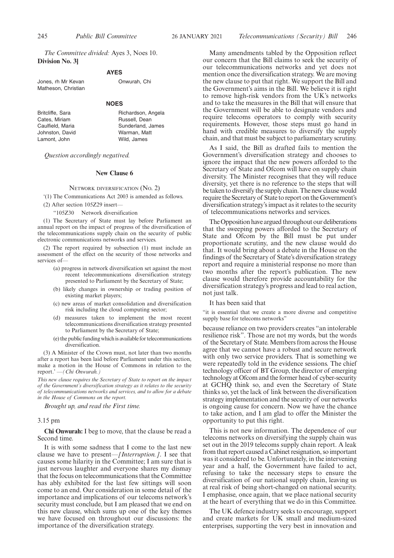*The Committee divided:* Ayes 3, Noes 10. **Division No. 3]**

#### **AYES**

Jones, rh Mr Kevan Matheson, Christian Onwurah, Chi

#### **NOES**

| Britcliffe, Sara | Richardson, Angela |
|------------------|--------------------|
| Cates, Miriam    | Russell, Dean      |
| Caulfield, Maria | Sunderland, James  |
| Johnston, David  | Warman, Matt       |
| Lamont, John     | Wild, James        |

*Question accordingly negatived.*

#### **New Clause 6**

NETWORK DIVERSIFICATION (No. 2)

'(1) The Communications Act 2003 is amended as follows.

(2) After section 105Z29 insert—

"105Z30 Network diversification

(1) The Secretary of State must lay before Parliament an annual report on the impact of progress of the diversification of the telecommunications supply chain on the security of public electronic communications networks and services.

(2) The report required by subsection (1) must include an assessment of the effect on the security of those networks and services of—

- (a) progress in network diversification set against the most recent telecommunications diversification strategy presented to Parliament by the Secretary of State;
- (b) likely changes in ownership or trading position of existing market players;
- (c) new areas of market consolidation and diversification risk including the cloud computing sector;
- (d) measures taken to implement the most recent telecommunications diversification strategy presented to Parliament by the Secretary of State;
- (e) the public funding which is available for telecommunications diversification.

(3) A Minister of the Crown must, not later than two months after a report has been laid before Parliament under this section, make a motion in the House of Commons in relation to the report.' —*(Chi Onwurah.)*

*This new clause requires the Secretary of State to report on the impact of the Government's diversification strategy as it relates to the security of telecommunications networks and services, and to allow for a debate in the House of Commons on the report.*

*Brought up, and read the First time.*

#### 3.15 pm

**Chi Onwurah:** I beg to move, that the clause be read a Second time.

It is with some sadness that I come to the last new clause we have to present—*[Interruption.]*. I see that causes some hilarity in the Committee; I am sure that is just nervous laughter and everyone shares my dismay that the focus on telecommunications that the Committee has ably exhibited for the last few sittings will soon come to an end. Our consideration in some detail of the importance and implications of our telecoms network's security must conclude, but I am pleased that we end on this new clause, which sums up one of the key themes we have focused on throughout our discussions: the importance of the diversification strategy.

Many amendments tabled by the Opposition reflect our concern that the Bill claims to seek the security of our telecommunications networks and yet does not mention once the diversification strategy. We are moving the new clause to put that right. We support the Bill and the Government's aims in the Bill. We believe it is right to remove high-risk vendors from the UK's networks and to take the measures in the Bill that will ensure that the Government will be able to designate vendors and require telecoms operators to comply with security requirements. However, those steps must go hand in hand with credible measures to diversify the supply chain, and that must be subject to parliamentary scrutiny.

As I said, the Bill as drafted fails to mention the Government's diversification strategy and chooses to ignore the impact that the new powers afforded to the Secretary of State and Ofcom will have on supply chain diversity. The Minister recognises that they will reduce diversity, yet there is no reference to the steps that will be taken to diversify the supply chain. The new clause would require the Secretary of State to report on the Government's diversification strategy's impact as it relates to the security of telecommunications networks and services.

The Opposition have argued throughout our deliberations that the sweeping powers afforded to the Secretary of State and Ofcom by the Bill must be put under proportionate scrutiny, and the new clause would do that. It would bring about a debate in the House on the findings of the Secretary of State's diversification strategy report and require a ministerial response no more than two months after the report's publication. The new clause would therefore provide accountability for the diversification strategy's progress and lead to real action, not just talk.

It has been said that

"it is essential that we create a more diverse and competitive supply base for telecoms networks"

because reliance on two providers creates "an intolerable resilience risk". Those are not my words, but the words of the Secretary of State. Members from across the House agree that we cannot have a robust and secure network with only two service providers. That is something we were repeatedly told in the evidence sessions. The chief technology officer of BT Group, the director of emerging technology at Ofcom and the former head of cyber-security at GCHQ think so, and even the Secretary of State thinks so, yet the lack of link between the diversification strategy implementation and the security of our networks is ongoing cause for concern. Now we have the chance to take action, and I am glad to offer the Minister the opportunity to put this right.

This is not new information. The dependence of our telecoms networks on diversifying the supply chain was set out in the 2019 telecoms supply chain report. A leak from that report caused a Cabinet resignation, so important was it considered to be. Unfortunately, in the intervening year and a half, the Government have failed to act, refusing to take the necessary steps to ensure the diversification of our national supply chain, leaving us at real risk of being short-changed on national security. I emphasise, once again, that we place national security at the heart of everything that we do in this Committee.

The UK defence industry seeks to encourage, support and create markets for UK small and medium-sized enterprises, supporting the very best in innovation and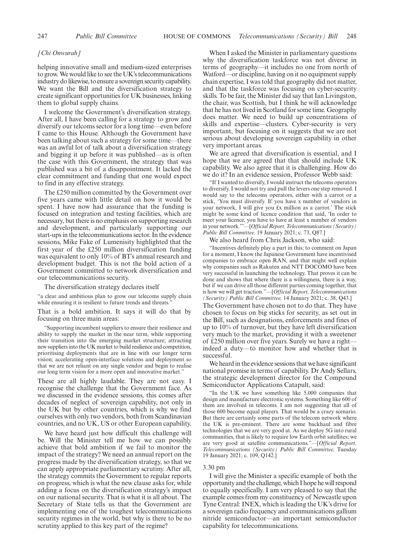#### *[Chi Onwurah]*

helping innovative small and medium-sized enterprises to grow. We would like to see the UK's telecommunications industry do likewise, to ensure a sovereign security capability. We want the Bill and the diversification strategy to create significant opportunities for UK businesses, linking them to global supply chains.

I welcome the Government's diversification strategy. After all, I have been calling for a strategy to grow and diversify our telcoms sector for a long time—even before I came to this House. Although the Government have been talking about such a strategy for some time—there was an awful lot of talk about a diversification strategy and bigging it up before it was published—as is often the case with this Government, the strategy that was published was a bit of a disappointment. It lacked the clear commitment and funding that one would expect to find in any effective strategy.

The £250 million committed by the Government over five years came with little detail on how it would be spent. I have now had assurance that the funding is focused on integration and testing facilities, which are necessary, but there is no emphasis on supporting research and development, and particularly supporting our start-ups in the telecommunications sector. In the evidence sessions, Mike Fake of Lumenisity highlighted that the first year of the £250 million diversification funding was equivalent to only 10% of BT's annual research and development budget. This is not the bold action of a Government committed to network diversification and our telecommunications security.

The diversification strategy declares itself

"a clear and ambitious plan to grow our telecoms supply chain while ensuring it is resilient to future trends and threats.

That is a bold ambition. It says it will do that by focusing on three main areas:

"Supporting incumbent suppliers to ensure their resilience and ability to supply the market in the near term, while supporting their transition into the emerging market structure; attracting new suppliers into the UK market to build resilience and competition, prioritising deployments that are in line with our longer term vision; accelerating open-interface solutions and deployment so that we are not reliant on any single vendor and begin to realise our long term vision for a more open and innovative market."

These are all highly laudable. They are not easy. I recognise the challenge that the Government face. As we discussed in the evidence sessions, this comes after decades of neglect of sovereign capability, not only in the UK but by other countries, which is why we find ourselves with only two vendors, both from Scandinavian countries, and no UK, US or other European capability.

We have heard just how difficult this challenge will be. Will the Minister tell me how we can possibly achieve that bold ambition if we fail to monitor the impact of the strategy? We need an annual report on the progress made by the diversification strategy, so that we can apply appropriate parliamentary scrutiny. After all, the strategy commits the Government to regular reports on progress, which is what the new clause asks for, while adding a focus on the diversification strategy's impact on our national security. That is what it is all about. The Secretary of State tells us that the Government are implementing one of the toughest telecommunications security regimes in the world, but why is there to be no scrutiny applied to this key part of the regime?

When I asked the Minister in parliamentary questions why the diversification taskforce was not diverse in terms of geography—it includes no one from north of Watford—or discipline, having on it no equipment supply chain expertise, I was told that geography did not matter, and that the taskforce was focusing on cyber-security skills. To be fair, the Minister did say that Ian Livingston, the chair, was Scottish, but I think he will acknowledge that he has not lived in Scotland for some time. Geography does matter. We need to build up concentrations of skills and expertise—clusters. Cyber-security is very important, but focusing on it suggests that we are not serious about developing sovereign capability in other very important areas.

We are agreed that diversification is essential, and I hope that we are agreed that that should include UK capability. We also agree that it is challenging. How do we do it? In an evidence session, Professor Webb said:

"If I wanted to diversify, I would instruct the telecoms operators to diversify. I would not try and pull the levers one step removed. I would say to the telecoms operators, either with a carrot or a stick, 'You must diversify. If you have x number of vendors in your network, I will give you £x million as a carrot.' The stick might be some kind of licence condition that said, 'In order to meet your licence, you have to have at least x number of vendors in your network.'"*––*[*Official Report, Telecommunications (Security) Public Bill Committee,* 19 January 2021; c. 73, Q87.]

We also heard from Chris Jackson, who said:

"Incentives definitely play a part in this; to comment on Japan for a moment, I know the Japanese Government have incentivised companies to embrace open RAN, and that might well explain why companies such as Rakuten and NTT DOCOMO have been very successful in launching the technology. That proves it can be done and shows that where there is a willingness, there is a way, but if we can drive all those different parties coming together, that is how we will get traction."*––*[*Official Report, Telecommunications (Security) Public Bill Committee,* 14 January 2021; c. 38, Q43.] The Government have chosen not to do that. They have chosen to focus on big sticks for security, as set out in the Bill, such as designations, enforcements and fines of up to 10% of turnover, but they have left diversification very much to the market, providing it with a sweetener of £250 million over five years. Surely we have a right indeed a duty—to monitor how and whether that is successful.

We heard in the evidence sessions that we have significant national promise in terms of capability. Dr Andy Sellars, the strategic development director for the Compound Semiconductor Applications Catapult, said:

"In the UK we have something like 5,000 companies that design and manufacture electronic systems. Something like 600 of them are involved in telecoms. I am not suggesting that all of those 600 become equal players. That would be a crazy scenario. But there are certainly some parts of the telecom network where the UK is pre-eminent. There are some backhaul and fibre technologies that we are very good at. As we deploy 5G into rural communities, that is likely to require low Earth orbit satellites; we are very good at satellite communications."*––*[*Official Report, Telecommunications (Security) Public Bill Committee,* Tuesday 19 January 2021; c. 109, Q142.]

#### 3.30 pm

I will give the Minister a specific example of both the opportunity and the challenge, which I hope he will respond to equally specifically. I am very pleased to say that the example comes from my constituency of Newcastle upon Tyne Central: INEX, which is leading the UK's drive for a sovereign radio frequency and communications gallium nitride semiconductor—an important semiconductor capability for telecommunications.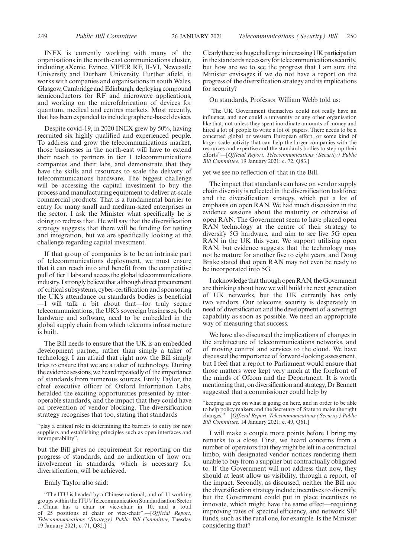INEX is currently working with many of the organisations in the north-east communications cluster, including aXenic, Evince, VIPER RF, II-VI, Newcastle University and Durham University. Further afield, it works with companies and organisations in south Wales, Glasgow, Cambridge and Edinburgh, deploying compound semiconductors for RF and microwave applications, and working on the microfabrication of devices for quantum, medical and centres markets. Most recently, that has been expanded to include graphene-based devices.

Despite covid-19, in 2020 INEX grew by 50%, having recruited six highly qualified and experienced people. To address and grow the telecommunications market, those businesses in the north-east will have to extend their reach to partners in tier 1 telecommunications companies and their labs, and demonstrate that they have the skills and resources to scale the delivery of telecommunications hardware. The biggest challenge will be accessing the capital investment to buy the process and manufacturing equipment to deliver at-scale commercial products. That is a fundamental barrier to entry for many small and medium-sized enterprises in the sector. I ask the Minister what specifically he is doing to redress that. He will say that the diversification strategy suggests that there will be funding for testing and integration, but we are specifically looking at the challenge regarding capital investment.

If that group of companies is to be an intrinsic part of telecommunications deployment, we must ensure that it can reach into and benefit from the competitive pull of tier 1 labs and access the global telecommunications industry. I strongly believe that although direct procurement of critical subsystems, cyber-certification and sponsoring the UK's attendance on standards bodies is beneficial —I will talk a bit about that—for truly secure telecommunications, the UK's sovereign businesses, both hardware and software, need to be embedded in the global supply chain from which telecoms infrastructure is built.

The Bill needs to ensure that the UK is an embedded development partner, rather than simply a taker of technology. I am afraid that right now the Bill simply tries to ensure that we are a taker of technology. During the evidence sessions, we heard repeatedly of the importance of standards from numerous sources. Emily Taylor, the chief executive officer of Oxford Information Labs, heralded the exciting opportunities presented by interoperable standards, and the impact that they could have on prevention of vendor blocking. The diversification strategy recognises that too, stating that standards

"play a critical role in determining the barriers to entry for new suppliers and establishing principles such as open interfaces and interoperability",

but the Bill gives no requirement for reporting on the progress of standards, and no indication of how our involvement in standards, which is necessary for diversification, will be achieved.

Emily Taylor also said:

"The ITU is headed by a Chinese national, and of 11 working groups within the ITU's Telecommunication Standardisation Sector …China has a chair or vice-chair in 10, and a total of 25 positions at chair or vice-chair".*––*[*Official Report, Telecommunications (Strategy) Public Bill Committee,* Tuesday 19 January 2021; c. 71, Q82.]

Clearly there is a huge challenge in increasing UK participation in the standards necessary for telecommunications security, but how are we to see the progress that I am sure the Minister envisages if we do not have a report on the progress of the diversification strategy and its implications for security?

On standards, Professor William Webb told us:

"The UK Government themselves could not really have an influence, and nor could a university or any other organisation like that, not unless they spent inordinate amounts of money and hired a lot of people to write a lot of papers. There needs to be a concerted global or western European effort, or some kind of larger scale activity that can help the larger companies with the resources and expertise and the standards bodies to step up their efforts"*––*[*Official Report, Telecommunications (Security) Public Bill Committee,* 19 January 2021; c. 72, Q83.]

yet we see no reflection of that in the Bill.

The impact that standards can have on vendor supply chain diversity is reflected in the diversification taskforce and the diversification strategy, which put a lot of emphasis on open RAN. We had much discussion in the evidence sessions about the maturity or otherwise of open RAN. The Government seem to have placed open RAN technology at the centre of their strategy to diversify 5G hardware, and aim to see live 5G open RAN in the UK this year. We support utilising open RAN, but evidence suggests that the technology may not be mature for another five to eight years, and Doug Brake stated that open RAN may not even be ready to be incorporated into 5G.

I acknowledge that through open RAN, the Government are thinking about how we will build the next generation of UK networks, but the UK currently has only two vendors. Our telecoms security is desperately in need of diversification and the development of a sovereign capability as soon as possible. We need an appropriate way of measuring that success.

We have also discussed the implications of changes in the architecture of telecommunications networks, and of moving control and services to the cloud. We have discussed the importance of forward-looking assessment, but I feel that a report to Parliament would ensure that those matters were kept very much at the forefront of the minds of Ofcom and the Department. It is worth mentioning that, on diversification and strategy, Dr Bennett suggested that a commissioner could help by

"keeping an eye on what is going on here, and in order to be able to help policy makers and the Secretary of State to make the right changes."*––*[*Official Report, Telecommunications (Security) Public Bill Committee,* 14 January 2021; c. 49, Q61.]

I will make a couple more points before I bring my remarks to a close. First, we heard concerns from a number of operators that they might be left in a contractual limbo, with designated vendor notices rendering them unable to buy from a supplier but contractually obligated to. If the Government will not address that now, they should at least allow us visibility, through a report, of the impact. Secondly, as discussed, neither the Bill nor the diversification strategy include incentives to diversify, but the Government could put in place incentives to innovate, which might have the same effect—requiring improving rates of spectral efficiency, and network SIP funds, such as the rural one, for example. Is the Minister considering that?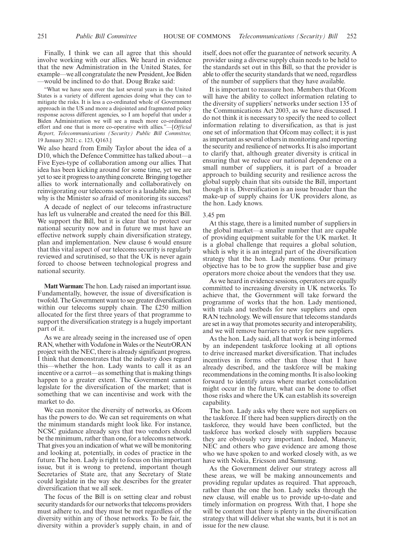Finally, I think we can all agree that this should involve working with our allies. We heard in evidence that the new Administration in the United States, for example—we all congratulate the new President, Joe Biden —would be inclined to do that. Doug Brake said:

"What we have seen over the last several years in the United States is a variety of different agencies doing what they can to mitigate the risks. It is less a co-ordinated whole of Government approach in the US and more a disjointed and fragmented policy response across different agencies, so I am hopeful that under a Biden Administration we will see a much more co-ordinated effort and one that is more co-operative with allies."*––*[*Official Report, Telecommunications (Security) Public Bill Committee,* 19 January 2021; c. 123, Q163.]

We also heard from Emily Taylor about the idea of a D10, which the Defence Committee has talked about—a Five Eyes-type of collaboration among our allies. That idea has been kicking around for some time, yet we are yet to see it progress to anything concrete. Bringing together allies to work internationally and collaboratively on reinvigorating our telecoms sector is a laudable aim, but why is the Minister so afraid of monitoring its success?

A decade of neglect of our telecoms infrastructure has left us vulnerable and created the need for this Bill. We support the Bill, but it is clear that to protect our national security now and in future we must have an effective network supply chain diversification strategy, plan and implementation. New clause 6 would ensure that this vital aspect of our telecoms security is regularly reviewed and scrutinised, so that the UK is never again forced to choose between technological progress and national security.

**Matt Warman:**The hon. Lady raised an important issue. Fundamentally, however, the issue of diversification is twofold. The Government want to see greater diversification within our telecoms supply chain. The £250 million allocated for the first three years of that programme to support the diversification strategy is a hugely important part of it.

As we are already seeing in the increased use of open RAN, whether with Vodafone in Wales or the NeutrORAN project with the NEC, there is already significant progress. I think that demonstrates that the industry does regard this—whether the hon. Lady wants to call it as an incentive or a carrot—as something that is making things happen to a greater extent. The Government cannot legislate for the diversification of the market; that is something that we can incentivise and work with the market to do.

We can monitor the diversity of networks, as Ofcom has the powers to do. We can set requirements on what the minimum standards might look like. For instance, NCSC guidance already says that two vendors should be the minimum, rather than one, for a telecoms network. That gives you an indication of what we will be monitoring and looking at, potentially, in codes of practice in the future. The hon. Lady is right to focus on this important issue, but it is wrong to pretend, important though Secretaries of State are, that any Secretary of State could legislate in the way she describes for the greater diversification that we all seek.

The focus of the Bill is on setting clear and robust security standards for our networks that telecoms providers must adhere to, and they must be met regardless of the diversity within any of those networks. To be fair, the diversity within a provider's supply chain, in and of itself, does not offer the guarantee of network security. A provider using a diverse supply chain needs to be held to the standards set out in this Bill, so that the provider is able to offer the security standards that we need, regardless of the number of suppliers that they have available.

It is important to reassure hon. Members that Ofcom will have the ability to collect information relating to the diversity of suppliers' networks under section 135 of the Communications Act 2003, as we have discussed. I do not think it is necessary to specify the need to collect information relating to diversification, as that is just one set of information that Ofcom may collect; it is just as important as several others in monitoring and reporting the security and resilience of networks. It is also important to clarify that, although greater diversity is critical in ensuring that we reduce our national dependence on a small number of suppliers, it is part of a broader approach to building security and resilience across the global supply chain that sits outside the Bill, important though it is. Diversification is an issue broader than the make-up of supply chains for UK providers alone, as the hon. Lady knows.

#### 3.45 pm

At this stage, there is a limited number of suppliers in the global market—a smaller number that are capable of providing equipment suitable for the UK market. It is a global challenge that requires a global solution, which is why it is an integral part of the diversification strategy that the hon. Lady mentions. Our primary objective has to be to grow the supplier base and give operators more choice about the vendors that they use.

As we heard in evidence sessions, operators are equally committed to increasing diversity in UK networks. To achieve that, the Government will take forward the programme of works that the hon. Lady mentioned, with trials and testbeds for new suppliers and open RAN technology. We will ensure that telecoms standards are set in a way that promotes security and interoperability, and we will remove barriers to entry for new suppliers.

As the hon. Lady said, all that work is being informed by an independent taskforce looking at all options to drive increased market diversification. That includes incentives in forms other than those that I have already described, and the taskforce will be making recommendations in the coming months. It is also looking forward to identify areas where market consolidation might occur in the future, what can be done to offset those risks and where the UK can establish its sovereign capability.

The hon. Lady asks why there were not suppliers on the taskforce. If there had been suppliers directly on the taskforce, they would have been conflicted, but the taskforce has worked closely with suppliers because they are obviously very important. Indeed, Manevir, NEC and others who gave evidence are among those who we have spoken to and worked closely with, as we have with Nokia, Ericsson and Samsung.

As the Government deliver our strategy across all these areas, we will be making announcements and providing regular updates as required. That approach, rather than the one the hon. Lady seeks through the new clause, will enable us to provide up-to-date and timely information on progress. With that, I hope she will be content that there is plenty in the diversification strategy that will deliver what she wants, but it is not an issue for the new clause.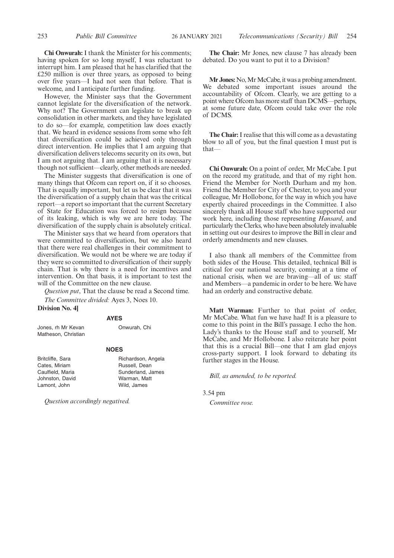**Chi Onwurah:** I thank the Minister for his comments; having spoken for so long myself, I was reluctant to interrupt him. I am pleased that he has clarified that the £250 million is over three years, as opposed to being over five years—I had not seen that before. That is welcome, and I anticipate further funding.

However, the Minister says that the Government cannot legislate for the diversification of the network. Why not? The Government can legislate to break up consolidation in other markets, and they have legislated to do so—for example, competition law does exactly that. We heard in evidence sessions from some who felt that diversification could be achieved only through direct intervention. He implies that I am arguing that diversification delivers telecoms security on its own, but I am not arguing that. I am arguing that it is necessary though not sufficient—clearly, other methods are needed.

The Minister suggests that diversification is one of many things that Ofcom can report on, if it so chooses. That is equally important, but let us be clear that it was the diversification of a supply chain that was the critical report—a report so important that the current Secretary of State for Education was forced to resign because of its leaking, which is why we are here today. The diversification of the supply chain is absolutely critical.

The Minister says that we heard from operators that were committed to diversification, but we also heard that there were real challenges in their commitment to diversification. We would not be where we are today if they were so committed to diversification of their supply chain. That is why there is a need for incentives and intervention. On that basis, it is important to test the will of the Committee on the new clause.

*Question put*, That the clause be read a Second time.

*The Committee divided:* Ayes 3, Noes 10.

#### **Division No. 4]**

Jones, rh Mr Kevan Matheson, Christian **AYES** Onwurah, Chi

#### **NOES**

Britcliffe, Sara Cates, Miriam Caulfield, Maria Johnston, David Lamont, John

Richardson, Angela Russell, Dean Sunderland, James Warman, Matt Wild, James

*Question accordingly negatived.*

**The Chair:** Mr Jones, new clause 7 has already been debated. Do you want to put it to a Division?

**Mr Jones:** No, Mr McCabe, it was a probing amendment. We debated some important issues around the accountability of Ofcom. Clearly, we are getting to a point where Ofcom has more staff than DCMS—perhaps, at some future date, Ofcom could take over the role of DCMS.

**The Chair:** I realise that this will come as a devastating blow to all of you, but the final question I must put is that—

**Chi Onwurah:** On a point of order, Mr McCabe. I put on the record my gratitude, and that of my right hon. Friend the Member for North Durham and my hon. Friend the Member for City of Chester, to you and your colleague, Mr Hollobone, for the way in which you have expertly chaired proceedings in the Committee. I also sincerely thank all House staff who have supported our work here, including those representing *Hansard*, and particularly the Clerks, who have been absolutely invaluable in setting out our desires to improve the Bill in clear and orderly amendments and new clauses.

I also thank all members of the Committee from both sides of the House. This detailed, technical Bill is critical for our national security, coming at a time of national crisis, when we are braving—all of us: staff and Members—a pandemic in order to be here. We have had an orderly and constructive debate.

**Matt Warman:** Further to that point of order, Mr McCabe. What fun we have had! It is a pleasure to come to this point in the Bill's passage. I echo the hon. Lady's thanks to the House staff and to yourself, Mr McCabe, and Mr Hollobone. I also reiterate her point that this is a crucial Bill—one that I am glad enjoys cross-party support. I look forward to debating its further stages in the House.

*Bill, as amended, to be reported.*

3.54 pm

*Committee rose.*